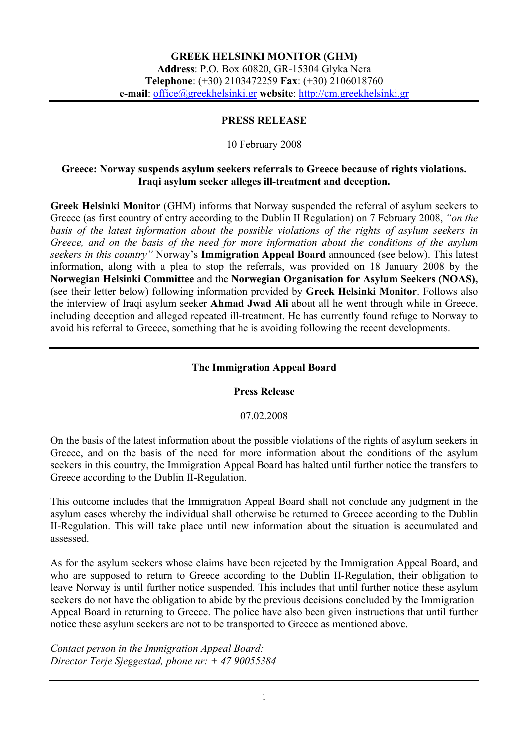## **PRESS RELEASE**

# 10 February 2008

# **Greece: Norway suspends asylum seekers referrals to Greece because of rights violations. Iraqi asylum seeker alleges ill-treatment and deception.**

**Greek Helsinki Monitor** (GHM) informs that Norway suspended the referral of asylum seekers to Greece (as first country of entry according to the Dublin II Regulation) on 7 February 2008, *"on the basis of the latest information about the possible violations of the rights of asylum seekers in Greece, and on the basis of the need for more information about the conditions of the asylum seekers in this country"* Norway's **Immigration Appeal Board** announced (see below). This latest information, along with a plea to stop the referrals, was provided on 18 January 2008 by the **Norwegian Helsinki Committee** and the **Norwegian Organisation for Asylum Seekers (NOAS),** (see their letter below) following information provided by **Greek Helsinki Monitor**. Follows also the interview of Iraqi asylum seeker **Ahmad Jwad Ali** about all he went through while in Greece, including deception and alleged repeated ill-treatment. He has currently found refuge to Norway to avoid his referral to Greece, something that he is avoiding following the recent developments.

# **The Immigration Appeal Board**

## **Press Release**

07.02.2008

On the basis of the latest information about the possible violations of the rights of asylum seekers in Greece, and on the basis of the need for more information about the conditions of the asylum seekers in this country, the Immigration Appeal Board has halted until further notice the transfers to Greece according to the Dublin II-Regulation.

This outcome includes that the Immigration Appeal Board shall not conclude any judgment in the asylum cases whereby the individual shall otherwise be returned to Greece according to the Dublin II-Regulation. This will take place until new information about the situation is accumulated and assessed.

As for the asylum seekers whose claims have been rejected by the Immigration Appeal Board, and who are supposed to return to Greece according to the Dublin II-Regulation, their obligation to leave Norway is until further notice suspended. This includes that until further notice these asylum seekers do not have the obligation to abide by the previous decisions concluded by the Immigration Appeal Board in returning to Greece. The police have also been given instructions that until further notice these asylum seekers are not to be transported to Greece as mentioned above.

*Contact person in the Immigration Appeal Board: Director Terje Sjeggestad, phone nr: + 47 90055384*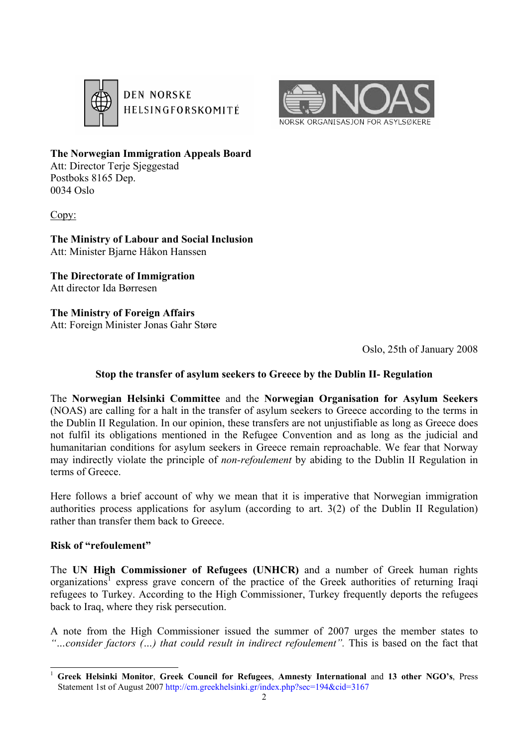

**DEN NORSKE** HELSINGFORSKOMITÉ



**The Norwegian Immigration Appeals Board**  Att: Director Terje Sjeggestad Postboks 8165 Dep. 0034 Oslo

Copy:

**The Ministry of Labour and Social Inclusion**  Att: Minister Bjarne Håkon Hanssen

**The Directorate of Immigration**  Att director Ida Børresen

#### **The Ministry of Foreign Affairs**  Att: Foreign Minister Jonas Gahr Støre

Oslo, 25th of January 2008

# **Stop the transfer of asylum seekers to Greece by the Dublin II- Regulation**

The **Norwegian Helsinki Committee** and the **Norwegian Organisation for Asylum Seekers** (NOAS) are calling for a halt in the transfer of asylum seekers to Greece according to the terms in the Dublin II Regulation. In our opinion, these transfers are not unjustifiable as long as Greece does not fulfil its obligations mentioned in the Refugee Convention and as long as the judicial and humanitarian conditions for asylum seekers in Greece remain reproachable. We fear that Norway may indirectly violate the principle of *non-refoulement* by abiding to the Dublin II Regulation in terms of Greece.

Here follows a brief account of why we mean that it is imperative that Norwegian immigration authorities process applications for asylum (according to art. 3(2) of the Dublin II Regulation) rather than transfer them back to Greece.

## **Risk of "refoulement"**

The **UN High Commissioner of Refugees (UNHCR)** and a number of Greek human rights organizations<sup>1</sup> express grave concern of the practice of the Greek authorities of returning Iraqi refugees to Turkey. According to the High Commissioner, Turkey frequently deports the refugees back to Iraq, where they risk persecution.

A note from the High Commissioner issued the summer of 2007 urges the member states to *"…consider factors (…) that could result in indirect refoulement".* This is based on the fact that

 $\overline{\phantom{a}}$ <sup>1</sup> **Greek Helsinki Monitor**, **Greek Council for Refugees**, **Amnesty International** and **13 other NGO's**, Press Statement 1st of August 2007 http://cm.greekhelsinki.gr/index.php?sec=194&cid=3167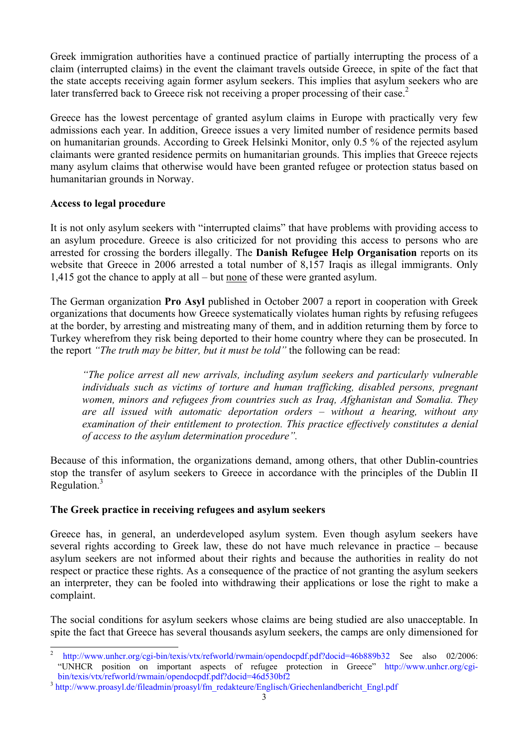Greek immigration authorities have a continued practice of partially interrupting the process of a claim (interrupted claims) in the event the claimant travels outside Greece, in spite of the fact that the state accepts receiving again former asylum seekers. This implies that asylum seekers who are later transferred back to Greece risk not receiving a proper processing of their case.<sup>2</sup>

Greece has the lowest percentage of granted asylum claims in Europe with practically very few admissions each year. In addition, Greece issues a very limited number of residence permits based on humanitarian grounds. According to Greek Helsinki Monitor, only 0.5 % of the rejected asylum claimants were granted residence permits on humanitarian grounds. This implies that Greece rejects many asylum claims that otherwise would have been granted refugee or protection status based on humanitarian grounds in Norway.

## **Access to legal procedure**

It is not only asylum seekers with "interrupted claims" that have problems with providing access to an asylum procedure. Greece is also criticized for not providing this access to persons who are arrested for crossing the borders illegally. The **Danish Refugee Help Organisation** reports on its website that Greece in 2006 arrested a total number of 8,157 Iraqis as illegal immigrants. Only 1,415 got the chance to apply at all – but none of these were granted asylum.

The German organization **Pro Asyl** published in October 2007 a report in cooperation with Greek organizations that documents how Greece systematically violates human rights by refusing refugees at the border, by arresting and mistreating many of them, and in addition returning them by force to Turkey wherefrom they risk being deported to their home country where they can be prosecuted. In the report *"The truth may be bitter, but it must be told"* the following can be read:

*"The police arrest all new arrivals, including asylum seekers and particularly vulnerable individuals such as victims of torture and human trafficking, disabled persons, pregnant women, minors and refugees from countries such as Iraq, Afghanistan and Somalia. They are all issued with automatic deportation orders – without a hearing, without any examination of their entitlement to protection. This practice effectively constitutes a denial of access to the asylum determination procedure".* 

Because of this information, the organizations demand, among others, that other Dublin-countries stop the transfer of asylum seekers to Greece in accordance with the principles of the Dublin II Regulation. $3$ 

## **The Greek practice in receiving refugees and asylum seekers**

Greece has, in general, an underdeveloped asylum system. Even though asylum seekers have several rights according to Greek law, these do not have much relevance in practice – because asylum seekers are not informed about their rights and because the authorities in reality do not respect or practice these rights. As a consequence of the practice of not granting the asylum seekers an interpreter, they can be fooled into withdrawing their applications or lose the right to make a complaint.

The social conditions for asylum seekers whose claims are being studied are also unacceptable. In spite the fact that Greece has several thousands asylum seekers, the camps are only dimensioned for

 $\overline{a}$ <sup>2</sup> http://www.unhcr.org/cgi-bin/texis/vtx/refworld/rwmain/opendocpdf.pdf?docid=46b889b32 See also 02/2006: "UNHCR position on important aspects of refugee protection in Greece" http://www.unhcr.org/cgi-<br>bin/texis/vtx/refworld/rwmain/opendocpdf.pdf?docid=46d530bf2

 $3$  http://www.proasyl.de/fileadmin/proasyl/fm\_redakteure/Englisch/Griechenlandbericht\_Engl.pdf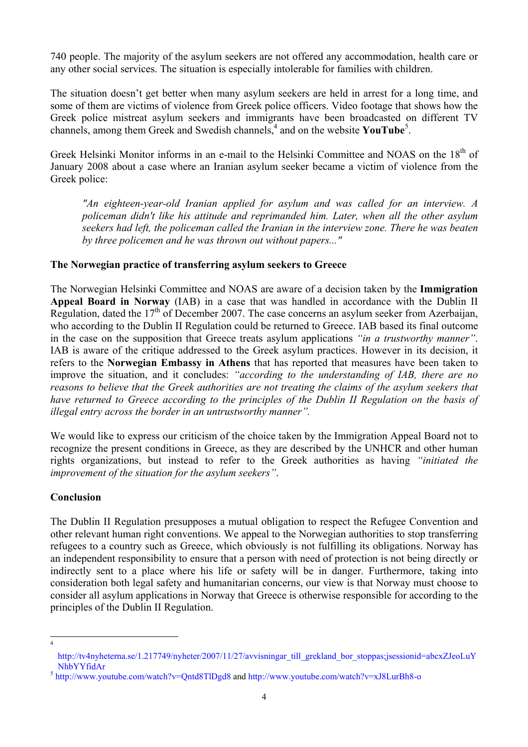740 people. The majority of the asylum seekers are not offered any accommodation, health care or any other social services. The situation is especially intolerable for families with children.

The situation doesn't get better when many asylum seekers are held in arrest for a long time, and some of them are victims of violence from Greek police officers. Video footage that shows how the Greek police mistreat asylum seekers and immigrants have been broadcasted on different TV channels, among them Greek and Swedish channels,<sup>4</sup> and on the website **YouTube**<sup>5</sup>.

Greek Helsinki Monitor informs in an e-mail to the Helsinki Committee and NOAS on the 18<sup>th</sup> of January 2008 about a case where an Iranian asylum seeker became a victim of violence from the Greek police:

*"An eighteen-year-old Iranian applied for asylum and was called for an interview. A policeman didn't like his attitude and reprimanded him. Later, when all the other asylum seekers had left, the policeman called the Iranian in the interview zone. There he was beaten by three policemen and he was thrown out without papers..."* 

## **The Norwegian practice of transferring asylum seekers to Greece**

The Norwegian Helsinki Committee and NOAS are aware of a decision taken by the **Immigration Appeal Board in Norway** (IAB) in a case that was handled in accordance with the Dublin II Regulation, dated the  $17<sup>th</sup>$  of December 2007. The case concerns an asylum seeker from Azerbaijan, who according to the Dublin II Regulation could be returned to Greece. IAB based its final outcome in the case on the supposition that Greece treats asylum applications *"in a trustworthy manner"*. IAB is aware of the critique addressed to the Greek asylum practices. However in its decision, it refers to the **Norwegian Embassy in Athens** that has reported that measures have been taken to improve the situation, and it concludes: *"according to the understanding of IAB, there are no reasons to believe that the Greek authorities are not treating the claims of the asylum seekers that have returned to Greece according to the principles of the Dublin II Regulation on the basis of illegal entry across the border in an untrustworthy manner".*

We would like to express our criticism of the choice taken by the Immigration Appeal Board not to recognize the present conditions in Greece, as they are described by the UNHCR and other human rights organizations, but instead to refer to the Greek authorities as having *"initiated the improvement of the situation for the asylum seekers"*.

## **Conclusion**

ا<br>4

The Dublin II Regulation presupposes a mutual obligation to respect the Refugee Convention and other relevant human right conventions. We appeal to the Norwegian authorities to stop transferring refugees to a country such as Greece, which obviously is not fulfilling its obligations. Norway has an independent responsibility to ensure that a person with need of protection is not being directly or indirectly sent to a place where his life or safety will be in danger. Furthermore, taking into consideration both legal safety and humanitarian concerns, our view is that Norway must choose to consider all asylum applications in Norway that Greece is otherwise responsible for according to the principles of the Dublin II Regulation.

http://tv4nyheterna.se/1.217749/nyheter/2007/11/27/avvisningar\_till\_grekland\_bor\_stoppas;jsessionid=abcxZJeoLuY NhbYYfidAr 5 http://www.youtube.com/watch?v=Qntd8TlDgd8 and http://www.youtube.com/watch?v=xJ8LurBh8-o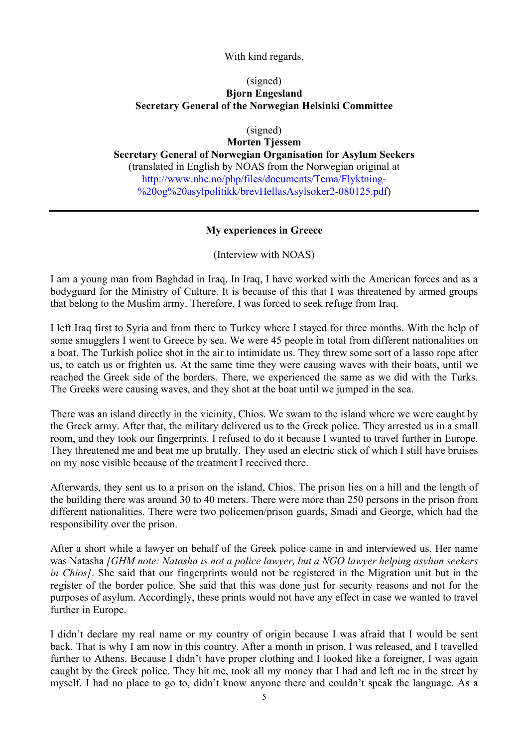#### With kind regards,

#### (signed)

## **B**jorn Engesland **Secretary General of the Norwegian Helsinki Committee**

(signed)

**Morten Tjessem Secretary General of Norwegian Organisation for Asylum Seekers**  (translated in English by NOAS from the Norwegian original at http://www.nhc.no/php/files/documents/Tema/Flyktning- %20og%20asylpolitikk/brevHellasAsylsoker2-080125.pdf)

#### **My experiences in Greece**

(Interview with NOAS)

I am a young man from Baghdad in Iraq. In Iraq, I have worked with the American forces and as a bodyguard for the Ministry of Culture. It is because of this that I was threatened by armed groups that belong to the Muslim army. Therefore, I was forced to seek refuge from Iraq.

I left Iraq first to Syria and from there to Turkey where I stayed for three months. With the help of some smugglers I went to Greece by sea. We were 45 people in total from different nationalities on a boat. The Turkish police shot in the air to intimidate us. They threw some sort of a lasso rope after us, to catch us or frighten us. At the same time they were causing waves with their boats, until we reached the Greek side of the borders. There, we experienced the same as we did with the Turks. The Greeks were causing waves, and they shot at the boat until we jumped in the sea.

There was an island directly in the vicinity, Chios. We swam to the island where we were caught by the Greek army. After that, the military delivered us to the Greek police. They arrested us in a small room, and they took our fingerprints. I refused to do it because I wanted to travel further in Europe. They threatened me and beat me up brutally. They used an electric stick of which I still have bruises on my nose visible because of the treatment I received there.

Afterwards, they sent us to a prison on the island, Chios. The prison lies on a hill and the length of the building there was around 30 to 40 meters. There were more than 250 persons in the prison from different nationalities. There were two policemen/prison guards, Smadi and George, which had the responsibility over the prison.

After a short while a lawyer on behalf of the Greek police came in and interviewed us. Her name was Natasha *[GHM note: Natasha is not a police lawyer, but a NGO lawyer helping asylum seekers in Chios]*. She said that our fingerprints would not be registered in the Migration unit but in the register of the border police. She said that this was done just for security reasons and not for the purposes of asylum. Accordingly, these prints would not have any effect in case we wanted to travel further in Europe.

I didn't declare my real name or my country of origin because I was afraid that I would be sent back. That is why I am now in this country. After a month in prison, I was released, and I travelled further to Athens. Because I didn't have proper clothing and I looked like a foreigner, I was again caught by the Greek police. They hit me, took all my money that I had and left me in the street by myself. I had no place to go to, didn't know anyone there and couldn't speak the language. As a